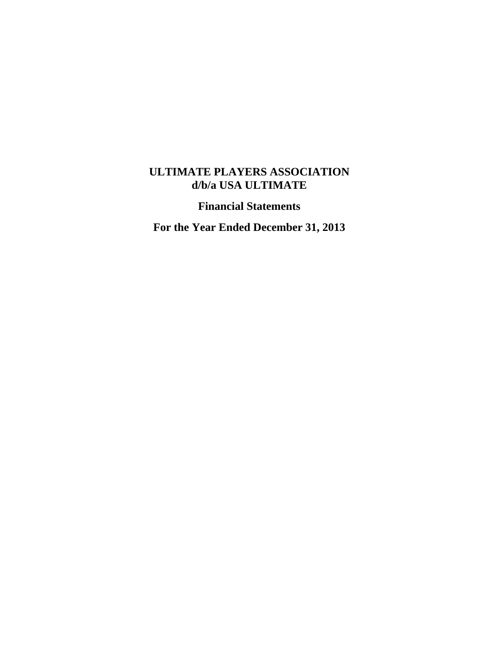# **ULTIMATE PLAYERS ASSOCIATION d/b/a USA ULTIMATE**

**Financial Statements** 

**For the Year Ended December 31, 2013**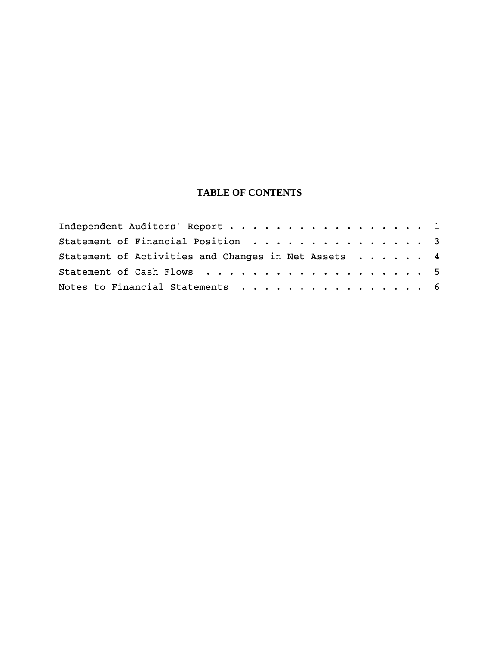# **TABLE OF CONTENTS**

| Independent Auditors' Report 1                      |  |  |  |  |
|-----------------------------------------------------|--|--|--|--|
| Statement of Financial Position 3                   |  |  |  |  |
| Statement of Activities and Changes in Net Assets 4 |  |  |  |  |
| Statement of Cash Flows 5                           |  |  |  |  |
| Notes to Financial Statements 6                     |  |  |  |  |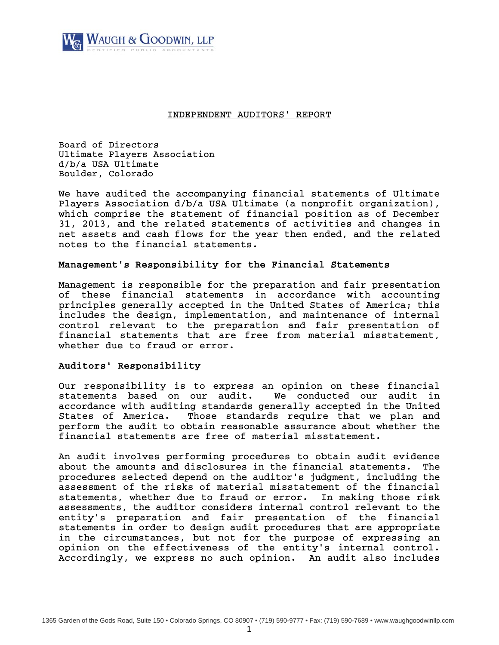

#### INDEPENDENT AUDITORS' REPORT

Board of Directors Ultimate Players Association d/b/a USA Ultimate Boulder, Colorado

We have audited the accompanying financial statements of Ultimate Players Association d/b/a USA Ultimate (a nonprofit organization), which comprise the statement of financial position as of December 31, 2013, and the related statements of activities and changes in net assets and cash flows for the year then ended, and the related notes to the financial statements.

# Management's Responsibility for the Financial Statements

Management is responsible for the preparation and fair presentation of these financial statements in accordance with accounting principles generally accepted in the United States of America; this includes the design, implementation, and maintenance of internal control relevant to the preparation and fair presentation of financial statements that are free from material misstatement, whether due to fraud or error.

# Auditors` Responsibility

Our responsibility is to express an opinion on these financial statements based on our audit. We conducted our audit in accordance with auditing standards generally accepted in the United States of America. Those standards require that we plan and perform the audit to obtain reasonable assurance about whether the financial statements are free of material misstatement.

An audit involves performing procedures to obtain audit evidence about the amounts and disclosures in the financial statements. The procedures selected depend on the auditor's judgment, including the assessment of the risks of material misstatement of the financial statements, whether due to fraud or error. In making those risk assessments, the auditor considers internal control relevant to the entity's preparation and fair presentation of the financial statements in order to design audit procedures that are appropriate in the circumstances, but not for the purpose of expressing an opinion on the effectiveness of the entity's internal control. Accordingly, we express no such opinion. An audit also includes

1365 Garden of the Gods Road, Suite 150 • Colorado Springs, CO 80907 • (719) 590-9777 • Fax: (719) 590-7689 • www.waughgoodwinllp.com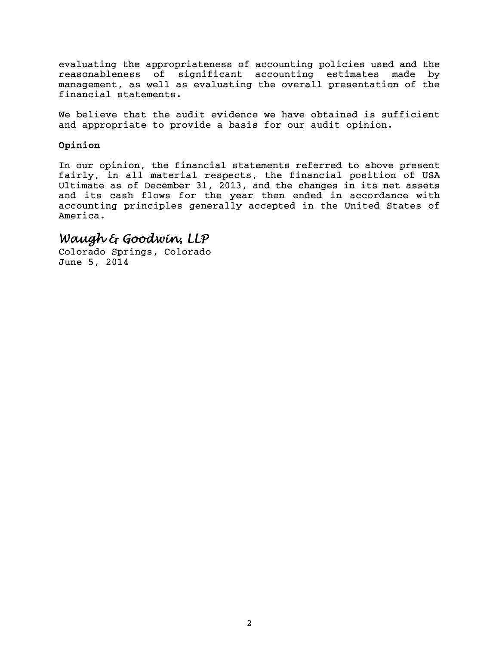evaluating the appropriateness of accounting policies used and the reasonableness of significant accounting estimates made by management, as well as evaluating the overall presentation of the financial statements.

We believe that the audit evidence we have obtained is sufficient and appropriate to provide a basis for our audit opinion.

# Opinion

In our opinion, the financial statements referred to above present fairly, in all material respects, the financial position of USA Ultimate as of December 31, 2013, and the changes in its net assets and its cash flows for the year then ended in accordance with accounting principles generally accepted in the United States of America.

# *Waugh & Goodwin, LLP*

Colorado Springs, Colorado June 5, 2014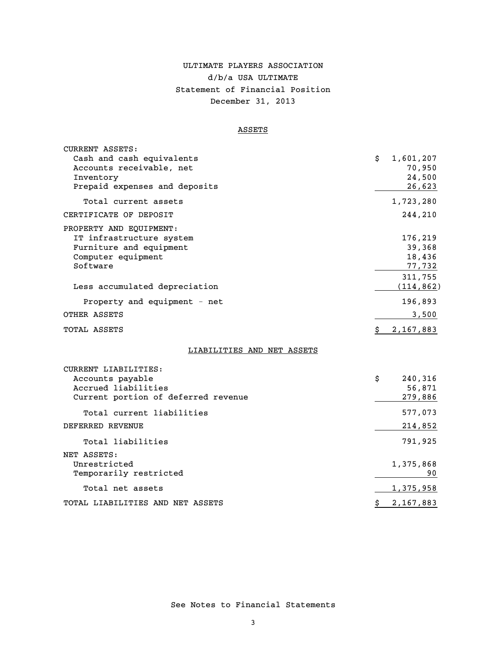# d/b/a USA ULTIMATE Statement of Financial Position December 31, 2013 ULTIMATE PLAYERS ASSOCIATION

# ASSETS

| \$<br>Cash and cash equivalents<br>1,601,207<br>Accounts receivable, net<br>70,950<br>24,500<br>Inventory<br>Prepaid expenses and deposits<br>26,623<br>1,723,280<br>Total current assets<br>244,210<br>CERTIFICATE OF DEPOSIT<br>176,219<br>IT infrastructure system<br>Furniture and equipment<br>39,368<br>Computer equipment<br>18,436<br>Software<br>77,732<br>311,755<br>(114, 862)<br>Less accumulated depreciation<br>196,893<br>Property and equipment - net<br>3,500<br>2,167,883<br>TOTAL ASSETS<br>\$<br>LIABILITIES AND NET ASSETS<br>CURRENT LIABILITIES:<br>\$<br>240,316<br>Accounts payable<br>Accrued liabilities<br>56,871<br>Current portion of deferred revenue<br>279,886<br>577,073<br>Total current liabilities<br>214,852<br>791,925<br>Total liabilities<br>NET ASSETS:<br>Unrestricted<br>1,375,868<br>Temporarily restricted<br>90<br>Total net assets<br><u>1,375,958</u> | <b>CURRENT ASSETS:</b>  |  |
|--------------------------------------------------------------------------------------------------------------------------------------------------------------------------------------------------------------------------------------------------------------------------------------------------------------------------------------------------------------------------------------------------------------------------------------------------------------------------------------------------------------------------------------------------------------------------------------------------------------------------------------------------------------------------------------------------------------------------------------------------------------------------------------------------------------------------------------------------------------------------------------------------------|-------------------------|--|
|                                                                                                                                                                                                                                                                                                                                                                                                                                                                                                                                                                                                                                                                                                                                                                                                                                                                                                        |                         |  |
|                                                                                                                                                                                                                                                                                                                                                                                                                                                                                                                                                                                                                                                                                                                                                                                                                                                                                                        |                         |  |
|                                                                                                                                                                                                                                                                                                                                                                                                                                                                                                                                                                                                                                                                                                                                                                                                                                                                                                        |                         |  |
|                                                                                                                                                                                                                                                                                                                                                                                                                                                                                                                                                                                                                                                                                                                                                                                                                                                                                                        |                         |  |
|                                                                                                                                                                                                                                                                                                                                                                                                                                                                                                                                                                                                                                                                                                                                                                                                                                                                                                        |                         |  |
|                                                                                                                                                                                                                                                                                                                                                                                                                                                                                                                                                                                                                                                                                                                                                                                                                                                                                                        |                         |  |
|                                                                                                                                                                                                                                                                                                                                                                                                                                                                                                                                                                                                                                                                                                                                                                                                                                                                                                        | PROPERTY AND EQUIPMENT: |  |
|                                                                                                                                                                                                                                                                                                                                                                                                                                                                                                                                                                                                                                                                                                                                                                                                                                                                                                        |                         |  |
|                                                                                                                                                                                                                                                                                                                                                                                                                                                                                                                                                                                                                                                                                                                                                                                                                                                                                                        |                         |  |
|                                                                                                                                                                                                                                                                                                                                                                                                                                                                                                                                                                                                                                                                                                                                                                                                                                                                                                        |                         |  |
|                                                                                                                                                                                                                                                                                                                                                                                                                                                                                                                                                                                                                                                                                                                                                                                                                                                                                                        |                         |  |
|                                                                                                                                                                                                                                                                                                                                                                                                                                                                                                                                                                                                                                                                                                                                                                                                                                                                                                        |                         |  |
|                                                                                                                                                                                                                                                                                                                                                                                                                                                                                                                                                                                                                                                                                                                                                                                                                                                                                                        |                         |  |
|                                                                                                                                                                                                                                                                                                                                                                                                                                                                                                                                                                                                                                                                                                                                                                                                                                                                                                        |                         |  |
|                                                                                                                                                                                                                                                                                                                                                                                                                                                                                                                                                                                                                                                                                                                                                                                                                                                                                                        | OTHER ASSETS            |  |
|                                                                                                                                                                                                                                                                                                                                                                                                                                                                                                                                                                                                                                                                                                                                                                                                                                                                                                        |                         |  |
|                                                                                                                                                                                                                                                                                                                                                                                                                                                                                                                                                                                                                                                                                                                                                                                                                                                                                                        |                         |  |
|                                                                                                                                                                                                                                                                                                                                                                                                                                                                                                                                                                                                                                                                                                                                                                                                                                                                                                        |                         |  |
|                                                                                                                                                                                                                                                                                                                                                                                                                                                                                                                                                                                                                                                                                                                                                                                                                                                                                                        |                         |  |
|                                                                                                                                                                                                                                                                                                                                                                                                                                                                                                                                                                                                                                                                                                                                                                                                                                                                                                        |                         |  |
|                                                                                                                                                                                                                                                                                                                                                                                                                                                                                                                                                                                                                                                                                                                                                                                                                                                                                                        |                         |  |
|                                                                                                                                                                                                                                                                                                                                                                                                                                                                                                                                                                                                                                                                                                                                                                                                                                                                                                        |                         |  |
|                                                                                                                                                                                                                                                                                                                                                                                                                                                                                                                                                                                                                                                                                                                                                                                                                                                                                                        | DEFERRED REVENUE        |  |
|                                                                                                                                                                                                                                                                                                                                                                                                                                                                                                                                                                                                                                                                                                                                                                                                                                                                                                        |                         |  |
|                                                                                                                                                                                                                                                                                                                                                                                                                                                                                                                                                                                                                                                                                                                                                                                                                                                                                                        |                         |  |
|                                                                                                                                                                                                                                                                                                                                                                                                                                                                                                                                                                                                                                                                                                                                                                                                                                                                                                        |                         |  |
|                                                                                                                                                                                                                                                                                                                                                                                                                                                                                                                                                                                                                                                                                                                                                                                                                                                                                                        |                         |  |
|                                                                                                                                                                                                                                                                                                                                                                                                                                                                                                                                                                                                                                                                                                                                                                                                                                                                                                        |                         |  |
| TOTAL LIABILITIES AND NET ASSETS<br>\$<br>2,167,883                                                                                                                                                                                                                                                                                                                                                                                                                                                                                                                                                                                                                                                                                                                                                                                                                                                    |                         |  |

See Notes to Financial Statements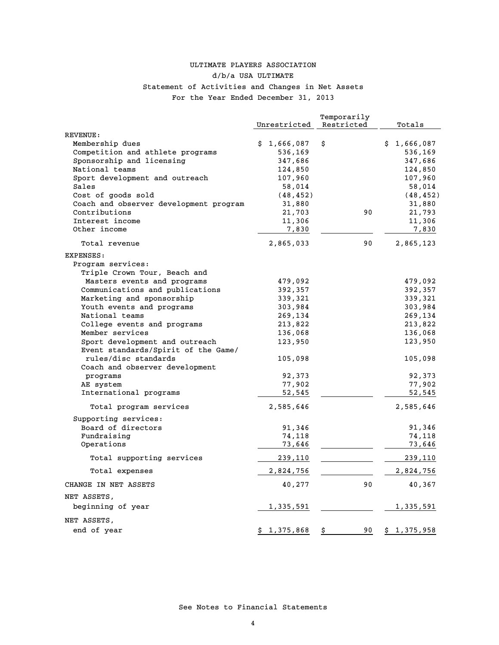### ULTIMATE PLAYERS ASSOCIATION

d/b/a USA ULTIMATE

### Statement of Activities and Changes in Net Assets

For the Year Ended December 31, 2013

|                                                                                                                                                                                                                                                                                                                                                                                                                                                      | Unrestricted Restricted                                                                                                       | Temporarily     | Totals                                                                                                                        |
|------------------------------------------------------------------------------------------------------------------------------------------------------------------------------------------------------------------------------------------------------------------------------------------------------------------------------------------------------------------------------------------------------------------------------------------------------|-------------------------------------------------------------------------------------------------------------------------------|-----------------|-------------------------------------------------------------------------------------------------------------------------------|
| REVENUE:<br>Membership dues<br>Competition and athlete programs<br>Sponsorship and licensing<br>National teams<br>Sport development and outreach<br>Sales<br>Cost of goods sold<br>Coach and observer development program<br>Contributions<br>Interest income<br>Other income                                                                                                                                                                        | \$1,666,087<br>536,169<br>347,686<br>124,850<br>107,960<br>58,014<br>(48, 452)<br>31,880<br>21,703<br>11,306<br>7,830         | \$<br>90        | \$1,666,087<br>536,169<br>347,686<br>124,850<br>107,960<br>58,014<br>(48, 452)<br>31,880<br>21,793<br>11,306<br>7,830         |
| Total revenue                                                                                                                                                                                                                                                                                                                                                                                                                                        | 2,865,033                                                                                                                     | 90              | 2,865,123                                                                                                                     |
| EXPENSES:<br>Program services:<br>Triple Crown Tour, Beach and<br>Masters events and programs<br>Communications and publications<br>Marketing and sponsorship<br>Youth events and programs<br>National teams<br>College events and programs<br>Member services<br>Sport development and outreach<br>Event standards/Spirit of the Game/<br>rules/disc standards<br>Coach and observer development<br>programs<br>AE system<br>International programs | 479,092<br>392,357<br>339,321<br>303,984<br>269,134<br>213,822<br>136,068<br>123,950<br>105,098<br>92,373<br>77,902<br>52,545 |                 | 479,092<br>392,357<br>339,321<br>303,984<br>269,134<br>213,822<br>136,068<br>123,950<br>105,098<br>92,373<br>77,902<br>52,545 |
| Total program services<br>Supporting services:<br>Board of directors<br>Fundraising<br>Operations                                                                                                                                                                                                                                                                                                                                                    | 2,585,646<br>91,346<br>74,118<br>73,646                                                                                       |                 | 2,585,646<br>91,346<br>74,118<br>73,646                                                                                       |
| Total supporting services                                                                                                                                                                                                                                                                                                                                                                                                                            | 239,110                                                                                                                       |                 | 239,110                                                                                                                       |
| Total expenses                                                                                                                                                                                                                                                                                                                                                                                                                                       | 2,824,756                                                                                                                     |                 | 2,824,756                                                                                                                     |
| CHANGE IN NET ASSETS                                                                                                                                                                                                                                                                                                                                                                                                                                 | 40,277                                                                                                                        | 90              | 40,367                                                                                                                        |
| NET ASSETS,                                                                                                                                                                                                                                                                                                                                                                                                                                          |                                                                                                                               |                 |                                                                                                                               |
| beginning of year                                                                                                                                                                                                                                                                                                                                                                                                                                    | <u>1,335,591</u>                                                                                                              |                 | <u>1,335,591</u>                                                                                                              |
| NET ASSETS,<br>end of year                                                                                                                                                                                                                                                                                                                                                                                                                           | \$1,375,868                                                                                                                   | 90<br><u>\$</u> | \$1,375,958                                                                                                                   |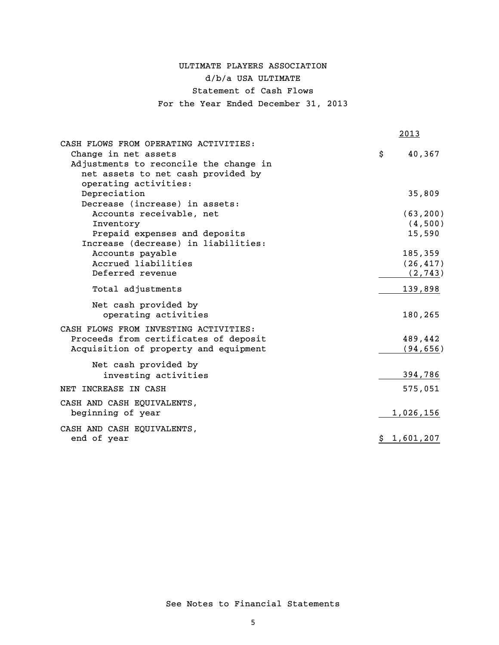# ULTIMATE PLAYERS ASSOCIATION d/b/a USA ULTIMATE Statement of Cash Flows For the Year Ended December 31, 2013

2013 CASH FLOWS FROM OPERATING ACTIVITIES: Change in net assets  $\zeta$  40,367 Adjustments to reconcile the change in net assets to net cash provided by operating activities: Depreciation 35,809 Decrease (increase) in assets: Accounts receivable, net (63,200) Inventory (4,500) Prepaid expenses and deposits 15,590 Increase (decrease) in liabilities: Accounts payable 3.185,359 Accrued liabilities (26,417) Deferred revenue (2,743) Total adjustments 139,898 Net cash provided by operating activities 180,265 CASH FLOWS FROM INVESTING ACTIVITIES: Proceeds from certificates of deposit 489,442 Acquisition of property and equipment (94,656) Net cash provided by investing activities and the set of the set of the set of the set of the set of the set of the set of the set o NET INCREASE IN CASH 575,051 CASH AND CASH EQUIVALENTS, beginning of year 1,026,156 CASH AND CASH EQUIVALENTS, end of year  $\frac{1}{2}$  1,601,207

See Notes to Financial Statements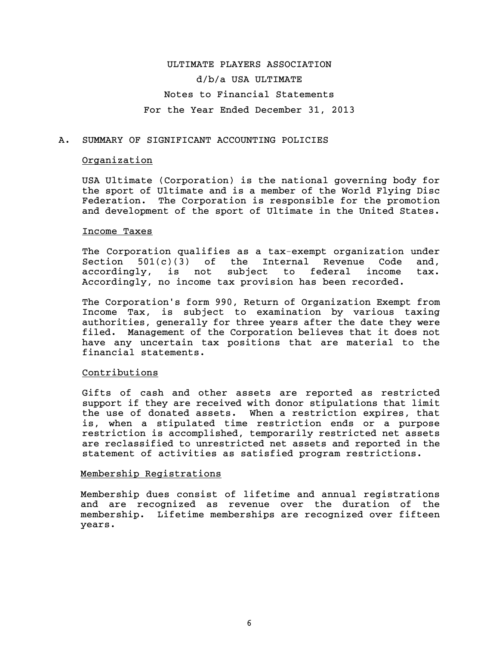# ULTIMATE PLAYERS ASSOCIATION d/b/a USA ULTIMATE Notes to Financial Statements For the Year Ended December 31, 2013

### A. SUMMARY OF SIGNIFICANT ACCOUNTING POLICIES

### **Organization**

USA Ultimate (Corporation) is the national governing body for the sport of Ultimate and is a member of the World Flying Disc Federation. The Corporation is responsible for the promotion and development of the sport of Ultimate in the United States.

#### Income Taxes

The Corporation qualifies as a tax-exempt organization under Section 501(c)(3) of the Internal Revenue Code and, accordingly, is not subject to federal income tax. Accordingly, no income tax provision has been recorded.

The Corporation's form 990, Return of Organization Exempt from Income Tax, is subject to examination by various taxing authorities, generally for three years after the date they were filed. Management of the Corporation believes that it does not have any uncertain tax positions that are material to the financial statements.

## Contributions

Gifts of cash and other assets are reported as restricted support if they are received with donor stipulations that limit the use of donated assets. When a restriction expires, that is, when a stipulated time restriction ends or a purpose restriction is accomplished, temporarily restricted net assets are reclassified to unrestricted net assets and reported in the statement of activities as satisfied program restrictions.

#### Membership Registrations

Membership dues consist of lifetime and annual registrations and are recognized as revenue over the duration of the membership. Lifetime memberships are recognized over fifteen years.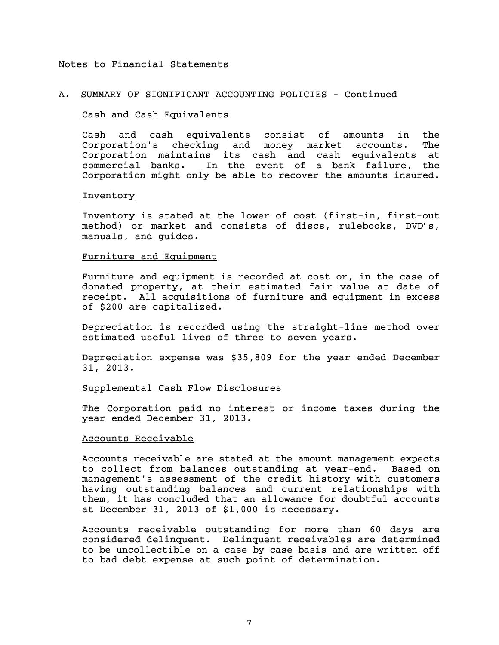#### Notes to Financial Statements

## A. SUMMARY OF SIGNIFICANT ACCOUNTING POLICIES - Continued

#### Cash and Cash Equivalents

Cash and cash equivalents consist of amounts in the Corporation's checking and money market accounts. The Corporation maintains its cash and cash equivalents at commercial banks. In the event of a bank failure, the Corporation might only be able to recover the amounts insured.

#### Inventory

Inventory is stated at the lower of cost (first-in, first-out method) or market and consists of discs, rulebooks, DVD's, manuals, and guides.

## Furniture and Equipment

Furniture and equipment is recorded at cost or, in the case of donated property, at their estimated fair value at date of receipt. All acquisitions of furniture and equipment in excess of \$200 are capitalized.

Depreciation is recorded using the straight-line method over estimated useful lives of three to seven years.

Depreciation expense was \$35,809 for the year ended December 31, 2013.

# Supplemental Cash Flow Disclosures

The Corporation paid no interest or income taxes during the year ended December 31, 2013.

### Accounts Receivable

Accounts receivable are stated at the amount management expects to collect from balances outstanding at year-end. Based on management's assessment of the credit history with customers having outstanding balances and current relationships with them, it has concluded that an allowance for doubtful accounts at December 31, 2013 of \$1,000 is necessary.

Accounts receivable outstanding for more than 60 days are considered delinquent. Delinquent receivables are determined to be uncollectible on a case by case basis and are written off to bad debt expense at such point of determination.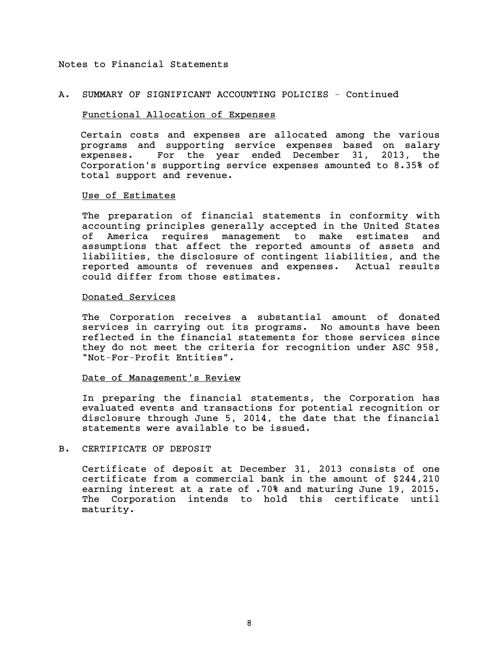#### Notes to Financial Statements

#### A. SUMMARY OF SIGNIFICANT ACCOUNTING POLICIES - Continued

# Functional Allocation of Expenses

Certain costs and expenses are allocated among the various programs and supporting service expenses based on salary expenses. For the year ended December 31, 2013, the Corporation's supporting service expenses amounted to 8.35% of total support and revenue.

#### Use of Estimates

The preparation of financial statements in conformity with accounting principles generally accepted in the United States of America requires management to make estimates and assumptions that affect the reported amounts of assets and liabilities, the disclosure of contingent liabilities, and the reported amounts of revenues and expenses. Actual results could differ from those estimates.

#### Donated Services

The Corporation receives a substantial amount of donated services in carrying out its programs. No amounts have been reflected in the financial statements for those services since they do not meet the criteria for recognition under ASC 958, "Not-For-Profit Entities".

# Date of Management's Review

In preparing the financial statements, the Corporation has evaluated events and transactions for potential recognition or disclosure through June 5, 2014, the date that the financial statements were available to be issued.

# B. CERTIFICATE OF DEPOSIT

Certificate of deposit at December 31, 2013 consists of one certificate from a commercial bank in the amount of \$244,210 earning interest at a rate of .70% and maturing June 19, 2015. The Corporation intends to hold this certificate until maturity.